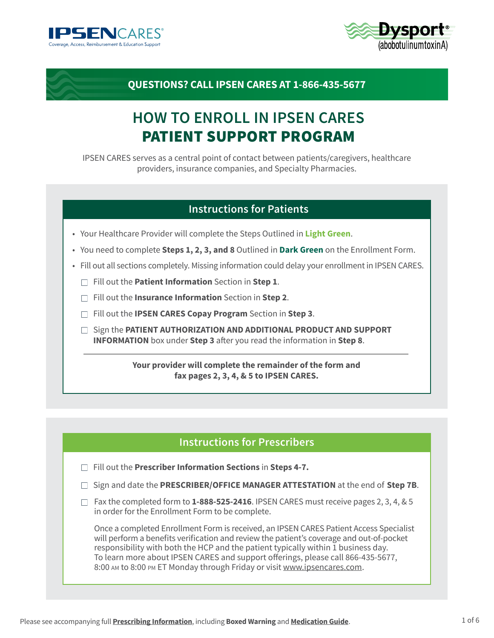



# **QUESTIONS? CALL IPSEN CARES AT 1-866-435-5677**

# **HOW TO ENROLL IN IPSEN CARES** PATIENT SUPPORT PROGRAM

IPSEN CARES serves as a central point of contact between patients/caregivers, healthcare providers, insurance companies, and Specialty Pharmacies.

### **Instructions for Patients**

- Your Healthcare Provider will complete the Steps Outlined in **Light Green**.
- You need to complete **Steps 1, 2, 3, and 8** Outlined in **Dark Green** on the Enrollment Form.
- Fill out all sections completely. Missing information could delay your enrollment in IPSEN CARES.
	- Fill out the **Patient Information** Section in **Step 1**.
	- Fill out the **Insurance Information** Section in **Step 2**.
	- Fill out the **IPSEN CARES Copay Program** Section in **Step 3**.
	- □ Sign the **PATIENT AUTHORIZATION AND ADDITIONAL PRODUCT AND SUPPORT INFORMATION** box under **Step 3** after you read the information in **Step 8**.

**Your provider will complete the remainder of the form and fax pages 2, 3, 4, & 5 to IPSEN CARES.**

#### **Instructions for Prescribers**

- Fill out the **Prescriber Information Sections** in **Steps 4-7.**
- □ Sign and date the **PRESCRIBER/OFFICE MANAGER ATTESTATION** at the end of **Step 7B**.
- $\Box$  Fax the completed form to **1-888-525-2416**. IPSEN CARES must receive pages 2, 3, 4, & 5 in order for the Enrollment Form to be complete.

Once a completed Enrollment Form is received, an IPSEN CARES Patient Access Specialist will perform a benefits verification and review the patient's coverage and out-of-pocket responsibility with both the HCP and the patient typically within 1 business day. To learn more about IPSEN CARES and support offerings, please call 866-435-5677, 8:00 AM to 8:00 PM ET Monday through Friday or visit [www.ipsencares.com.](http://www.ipsencares.com)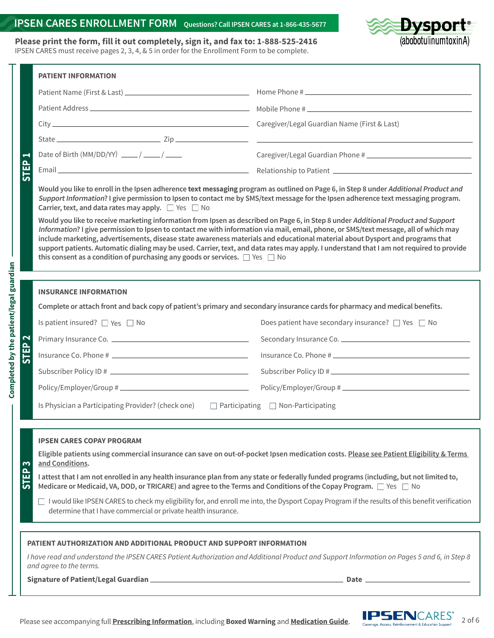#### **IPSEN CARES ENROLLMENT FORM Questions? Call IPSEN CARES at 1-866-435-5677**

**Please print the form, fill it out completely, sign it, and fax to: 1-888-525-2416** IPSEN CARES must receive pages 2, 3, 4, & 5 in order for the Enrollment Form to be complete.

**Completed by the patient/legal guardian**

Completed by the patient/legal guardian

Dysport<sup>®</sup><br>(abobotulinumtoxinA)

|                                  | <b>PATIENT INFORMATION</b>                                                                                                                                                                                                                                                                                                                                                                                                                                                                                                                                                                                                                                                                                                                                                                                                                                                                                                                                                                    |                                                                                                                                                                                                                                |  |  |  |
|----------------------------------|-----------------------------------------------------------------------------------------------------------------------------------------------------------------------------------------------------------------------------------------------------------------------------------------------------------------------------------------------------------------------------------------------------------------------------------------------------------------------------------------------------------------------------------------------------------------------------------------------------------------------------------------------------------------------------------------------------------------------------------------------------------------------------------------------------------------------------------------------------------------------------------------------------------------------------------------------------------------------------------------------|--------------------------------------------------------------------------------------------------------------------------------------------------------------------------------------------------------------------------------|--|--|--|
|                                  |                                                                                                                                                                                                                                                                                                                                                                                                                                                                                                                                                                                                                                                                                                                                                                                                                                                                                                                                                                                               |                                                                                                                                                                                                                                |  |  |  |
|                                  |                                                                                                                                                                                                                                                                                                                                                                                                                                                                                                                                                                                                                                                                                                                                                                                                                                                                                                                                                                                               |                                                                                                                                                                                                                                |  |  |  |
|                                  |                                                                                                                                                                                                                                                                                                                                                                                                                                                                                                                                                                                                                                                                                                                                                                                                                                                                                                                                                                                               |                                                                                                                                                                                                                                |  |  |  |
|                                  |                                                                                                                                                                                                                                                                                                                                                                                                                                                                                                                                                                                                                                                                                                                                                                                                                                                                                                                                                                                               |                                                                                                                                                                                                                                |  |  |  |
| Н                                | Date of Birth (MM/DD/YY) $\frac{1}{\sqrt{1-\frac{1}{2}}}\left(\frac{1}{\sqrt{1-\frac{1}{2}}}\right)$                                                                                                                                                                                                                                                                                                                                                                                                                                                                                                                                                                                                                                                                                                                                                                                                                                                                                          |                                                                                                                                                                                                                                |  |  |  |
| 읎                                |                                                                                                                                                                                                                                                                                                                                                                                                                                                                                                                                                                                                                                                                                                                                                                                                                                                                                                                                                                                               | Email Contract Communications and Communications and Communications and Communications and Communications and Communications and Communications and Communications and Communications and Communications and Communications an |  |  |  |
|                                  | Would you like to enroll in the Ipsen adherence text messaging program as outlined on Page 6, in Step 8 under Additional Product and<br>Support Information? I give permission to Ipsen to contact me by SMS/text message for the Ipsen adherence text messaging program.<br>Carrier, text, and data rates may apply. $\Box$ Yes $\Box$ No<br>Would you like to receive marketing information from Ipsen as described on Page 6, in Step 8 under Additional Product and Support<br>Information? I give permission to Ipsen to contact me with information via mail, email, phone, or SMS/text message, all of which may<br>include marketing, advertisements, disease state awareness materials and educational material about Dysport and programs that<br>support patients. Automatic dialing may be used. Carrier, text, and data rates may apply. I understand that I am not required to provide<br>this consent as a condition of purchasing any goods or services. $\Box$ Yes $\Box$ No |                                                                                                                                                                                                                                |  |  |  |
|                                  | <b>INSURANCE INFORMATION</b>                                                                                                                                                                                                                                                                                                                                                                                                                                                                                                                                                                                                                                                                                                                                                                                                                                                                                                                                                                  |                                                                                                                                                                                                                                |  |  |  |
|                                  | Complete or attach front and back copy of patient's primary and secondary insurance cards for pharmacy and medical benefits.                                                                                                                                                                                                                                                                                                                                                                                                                                                                                                                                                                                                                                                                                                                                                                                                                                                                  |                                                                                                                                                                                                                                |  |  |  |
|                                  | Is patient insured? $\Box$ Yes $\Box$ No                                                                                                                                                                                                                                                                                                                                                                                                                                                                                                                                                                                                                                                                                                                                                                                                                                                                                                                                                      | Does patient have secondary insurance? $\Box$ Yes $\Box$ No                                                                                                                                                                    |  |  |  |
| $\mathbf{\Omega}$<br><b>STEP</b> |                                                                                                                                                                                                                                                                                                                                                                                                                                                                                                                                                                                                                                                                                                                                                                                                                                                                                                                                                                                               |                                                                                                                                                                                                                                |  |  |  |
|                                  |                                                                                                                                                                                                                                                                                                                                                                                                                                                                                                                                                                                                                                                                                                                                                                                                                                                                                                                                                                                               | Insurance Co. Phone #                                                                                                                                                                                                          |  |  |  |
|                                  |                                                                                                                                                                                                                                                                                                                                                                                                                                                                                                                                                                                                                                                                                                                                                                                                                                                                                                                                                                                               | Subscriber Policy ID #                                                                                                                                                                                                         |  |  |  |
|                                  |                                                                                                                                                                                                                                                                                                                                                                                                                                                                                                                                                                                                                                                                                                                                                                                                                                                                                                                                                                                               |                                                                                                                                                                                                                                |  |  |  |
|                                  | Is Physician a Participating Provider? (check one) Darticipating D Non-Participating                                                                                                                                                                                                                                                                                                                                                                                                                                                                                                                                                                                                                                                                                                                                                                                                                                                                                                          |                                                                                                                                                                                                                                |  |  |  |
|                                  | <b>IPSEN CARES COPAY PROGRAM</b><br>Eligible patients using commercial insurance can save on out-of-pocket Ipsen medication costs. Please see Patient Eligibility & Terms                                                                                                                                                                                                                                                                                                                                                                                                                                                                                                                                                                                                                                                                                                                                                                                                                     |                                                                                                                                                                                                                                |  |  |  |
| ო                                | and Conditions.                                                                                                                                                                                                                                                                                                                                                                                                                                                                                                                                                                                                                                                                                                                                                                                                                                                                                                                                                                               |                                                                                                                                                                                                                                |  |  |  |
| 읎<br>ပြ                          | I attest that I am not enrolled in any health insurance plan from any state or federally funded programs (including, but not limited to,<br>Medicare or Medicaid, VA, DOD, or TRICARE) and agree to the Terms and Conditions of the Copay Program. $\Box$ Yes $\Box$ No                                                                                                                                                                                                                                                                                                                                                                                                                                                                                                                                                                                                                                                                                                                       |                                                                                                                                                                                                                                |  |  |  |
|                                  | $\Box$ I would like IPSEN CARES to check my eligibility for, and enroll me into, the Dysport Copay Program if the results of this benefit verification<br>determine that I have commercial or private health insurance.                                                                                                                                                                                                                                                                                                                                                                                                                                                                                                                                                                                                                                                                                                                                                                       |                                                                                                                                                                                                                                |  |  |  |
|                                  |                                                                                                                                                                                                                                                                                                                                                                                                                                                                                                                                                                                                                                                                                                                                                                                                                                                                                                                                                                                               |                                                                                                                                                                                                                                |  |  |  |
|                                  | PATIENT AUTHORIZATION AND ADDITIONAL PRODUCT AND SUPPORT INFORMATION                                                                                                                                                                                                                                                                                                                                                                                                                                                                                                                                                                                                                                                                                                                                                                                                                                                                                                                          |                                                                                                                                                                                                                                |  |  |  |
|                                  | and agree to the terms.                                                                                                                                                                                                                                                                                                                                                                                                                                                                                                                                                                                                                                                                                                                                                                                                                                                                                                                                                                       | I have read and understand the IPSEN CARES Patient Authorization and Additional Product and Support Information on Pages 5 and 6, in Step 8                                                                                    |  |  |  |



2 of 6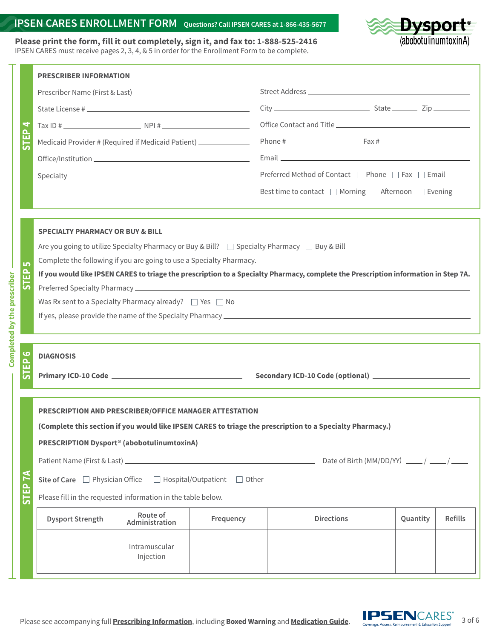#### **IPSEN CARES ENROLLMENT FORM Questions? Call IPSEN CARES at 1-866-435-5677**

Dysport<sup>®</sup><br>(abobotulinumtoxinA)

**Please print the form, fill it out completely, sign it, and fax to: 1-888-525-2416** IPSEN CARES must receive pages 2, 3, 4, & 5 in order for the Enrollment Form to be complete.

|                    | <b>PRESCRIBER INFORMATION</b>                                                                                                       |                                                                  |           |                                                      |          |                |  |  |
|--------------------|-------------------------------------------------------------------------------------------------------------------------------------|------------------------------------------------------------------|-----------|------------------------------------------------------|----------|----------------|--|--|
| STEP <sub>4</sub>  |                                                                                                                                     |                                                                  |           |                                                      |          |                |  |  |
|                    |                                                                                                                                     |                                                                  |           | $City$ $City$ $Right$ $Zip$                          |          |                |  |  |
|                    |                                                                                                                                     | $\frac{1}{2}$ Tax ID #                                           |           |                                                      |          |                |  |  |
|                    |                                                                                                                                     | Medicaid Provider # (Required if Medicaid Patient) _____________ |           |                                                      |          |                |  |  |
|                    |                                                                                                                                     |                                                                  |           |                                                      |          |                |  |  |
|                    | Specialty                                                                                                                           |                                                                  |           | Preferred Method of Contact □ Phone □ Fax □ Email    |          |                |  |  |
|                    |                                                                                                                                     |                                                                  |           | Best time to contact □ Morning □ Afternoon □ Evening |          |                |  |  |
|                    |                                                                                                                                     |                                                                  |           |                                                      |          |                |  |  |
|                    |                                                                                                                                     |                                                                  |           |                                                      |          |                |  |  |
|                    | <b>SPECIALTY PHARMACY OR BUY &amp; BILL</b>                                                                                         |                                                                  |           |                                                      |          |                |  |  |
|                    | Are you going to utilize Specialty Pharmacy or Buy & Bill? □ Specialty Pharmacy □ Buy & Bill                                        |                                                                  |           |                                                      |          |                |  |  |
| LO <sub>1</sub>    | Complete the following if you are going to use a Specialty Pharmacy.                                                                |                                                                  |           |                                                      |          |                |  |  |
| 읎<br>ာ             | If you would like IPSEN CARES to triage the prescription to a Specialty Pharmacy, complete the Prescription information in Step 7A. |                                                                  |           |                                                      |          |                |  |  |
|                    |                                                                                                                                     |                                                                  |           |                                                      |          |                |  |  |
|                    | Was Rx sent to a Specialty Pharmacy already? $\Box$ Yes $\Box$ No                                                                   |                                                                  |           |                                                      |          |                |  |  |
|                    |                                                                                                                                     |                                                                  |           |                                                      |          |                |  |  |
|                    |                                                                                                                                     |                                                                  |           |                                                      |          |                |  |  |
| ဖ<br>Ò<br>ш        | <b>DIAGNOSIS</b>                                                                                                                    |                                                                  |           |                                                      |          |                |  |  |
| $\overline{5}$     |                                                                                                                                     |                                                                  |           |                                                      |          |                |  |  |
|                    |                                                                                                                                     |                                                                  |           |                                                      |          |                |  |  |
|                    | <b>PRESCRIPTION AND PRESCRIBER/OFFICE MANAGER ATTESTATION</b>                                                                       |                                                                  |           |                                                      |          |                |  |  |
|                    | (Complete this section if you would like IPSEN CARES to triage the prescription to a Specialty Pharmacy.)                           |                                                                  |           |                                                      |          |                |  |  |
|                    | PRESCRIPTION Dysport <sup>®</sup> (abobotulinumtoxinA)                                                                              |                                                                  |           |                                                      |          |                |  |  |
|                    |                                                                                                                                     |                                                                  |           |                                                      |          |                |  |  |
|                    |                                                                                                                                     |                                                                  |           |                                                      |          |                |  |  |
| STEP <sub>7A</sub> | Please fill in the requested information in the table below.                                                                        |                                                                  |           |                                                      |          |                |  |  |
|                    | <b>Dysport Strength</b>                                                                                                             | Route of<br>Administration                                       | Frequency | <b>Directions</b>                                    | Quantity | <b>Refills</b> |  |  |
|                    |                                                                                                                                     | Intramuscular<br>Injection                                       |           |                                                      |          |                |  |  |

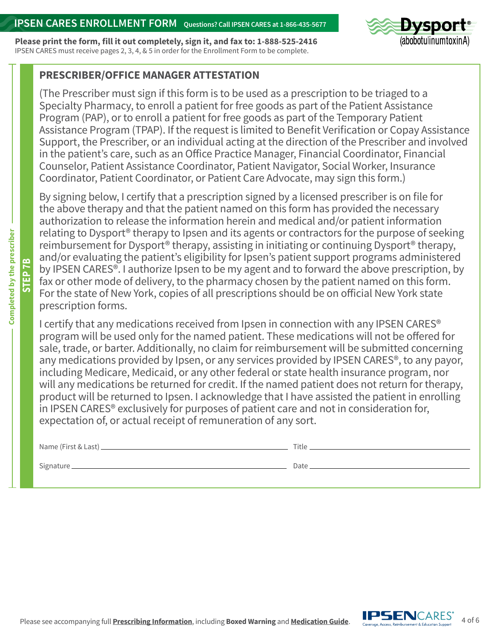**Please print the form, fill it out completely, sign it, and fax to: 1-888-525-2416** IPSEN CARES must receive pages 2, 3, 4, & 5 in order for the Enrollment Form to be complete.



## **PRESCRIBER/OFFICE MANAGER ATTESTATION**

(The Prescriber must sign if this form is to be used as a prescription to be triaged to a Specialty Pharmacy, to enroll a patient for free goods as part of the Patient Assistance Program (PAP), or to enroll a patient for free goods as part of the Temporary Patient Assistance Program (TPAP). If the request is limited to Benefit Verification or Copay Assistance Support, the Prescriber, or an individual acting at the direction of the Prescriber and involved in the patient's care, such as an Office Practice Manager, Financial Coordinator, Financial Counselor, Patient Assistance Coordinator, Patient Navigator, Social Worker, Insurance Coordinator, Patient Coordinator, or Patient Care Advocate, may sign this form.)

By signing below, I certify that a prescription signed by a licensed prescriber is on file for the above therapy and that the patient named on this form has provided the necessary authorization to release the information herein and medical and/or patient information relating to Dysport® therapy to Ipsen and its agents or contractors for the purpose of seeking reimbursement for Dysport® therapy, assisting in initiating or continuing Dysport® therapy, and/or evaluating the patient's eligibility for Ipsen's patient support programs administered by IPSEN CARES®. I authorize Ipsen to be my agent and to forward the above prescription, by fax or other mode of delivery, to the pharmacy chosen by the patient named on this form. For the state of New York, copies of all prescriptions should be on official New York state prescription forms.

I certify that any medications received from Ipsen in connection with any IPSEN CARES® program will be used only for the named patient. These medications will not be offered for sale, trade, or barter. Additionally, no claim for reimbursement will be submitted concerning any medications provided by Ipsen, or any services provided by IPSEN CARES®, to any payor, including Medicare, Medicaid, or any other federal or state health insurance program, nor will any medications be returned for credit. If the named patient does not return for therapy, product will be returned to Ipsen. I acknowledge that I have assisted the patient in enrolling in IPSEN CARES® exclusively for purposes of patient care and not in consideration for, expectation of, or actual receipt of remuneration of any sort.

| Name (First & Last) _____ | Title |
|---------------------------|-------|
| Signature_                | Date  |



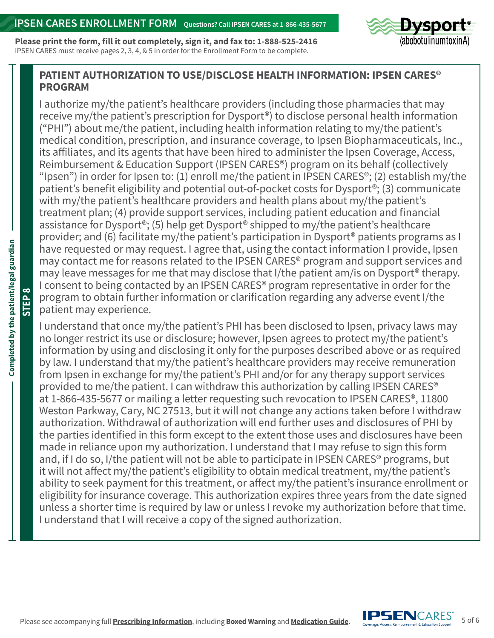**Please print the form, fill it out completely, sign it, and fax to: 1-888-525-2416** IPSEN CARES must receive pages 2, 3, 4, & 5 in order for the Enrollment Form to be complete.



## **PATIENT AUTHORIZATION TO USE/DISCLOSE HEALTH INFORMATION: IPSEN CARES® PROGRAM**

I authorize my/the patient's healthcare providers (including those pharmacies that may receive my/the patient's prescription for Dysport®) to disclose personal health information ("PHI") about me/the patient, including health information relating to my/the patient's medical condition, prescription, and insurance coverage, to Ipsen Biopharmaceuticals, Inc., its affiliates, and its agents that have been hired to administer the Ipsen Coverage, Access, Reimbursement & Education Support (IPSEN CARES®) program on its behalf (collectively "Ipsen") in order for Ipsen to: (1) enroll me/the patient in IPSEN CARES<sup>®</sup>; (2) establish my/the patient's benefit eligibility and potential out-of-pocket costs for Dysport®; (3) communicate with my/the patient's healthcare providers and health plans about my/the patient's treatment plan; (4) provide support services, including patient education and financial assistance for Dysport®; (5) help get Dysport® shipped to my/the patient's healthcare provider; and (6) facilitate my/the patient's participation in Dysport® patients programs as I have requested or may request. I agree that, using the contact information I provide, Ipsen may contact me for reasons related to the IPSEN CARES® program and support services and may leave messages for me that may disclose that I/the patient am/is on Dysport® therapy. I consent to being contacted by an IPSEN CARES® program representative in order for the program to obtain further information or clarification regarding any adverse event I/the patient may experience.

I understand that once my/the patient's PHI has been disclosed to Ipsen, privacy laws may no longer restrict its use or disclosure; however, Ipsen agrees to protect my/the patient's information by using and disclosing it only for the purposes described above or as required by law. I understand that my/the patient's healthcare providers may receive remuneration from Ipsen in exchange for my/the patient's PHI and/or for any therapy support services provided to me/the patient. I can withdraw this authorization by calling IPSEN CARES® at 1-866-435-5677 or mailing a letter requesting such revocation to IPSEN CARES®, 11800 Weston Parkway, Cary, NC 27513, but it will not change any actions taken before I withdraw authorization. Withdrawal of authorization will end further uses and disclosures of PHI by the parties identified in this form except to the extent those uses and disclosures have been made in reliance upon my authorization. I understand that I may refuse to sign this form and, if I do so, I/the patient will not be able to participate in IPSEN CARES<sup>®</sup> programs, but it will not affect my/the patient's eligibility to obtain medical treatment, my/the patient's ability to seek payment for this treatment, or affect my/the patient's insurance enrollment or eligibility for insurance coverage. This authorization expires three years from the date signed unless a shorter time is required by law or unless I revoke my authorization before that time. I understand that I will receive a copy of the signed authorization.

**STEP 8**